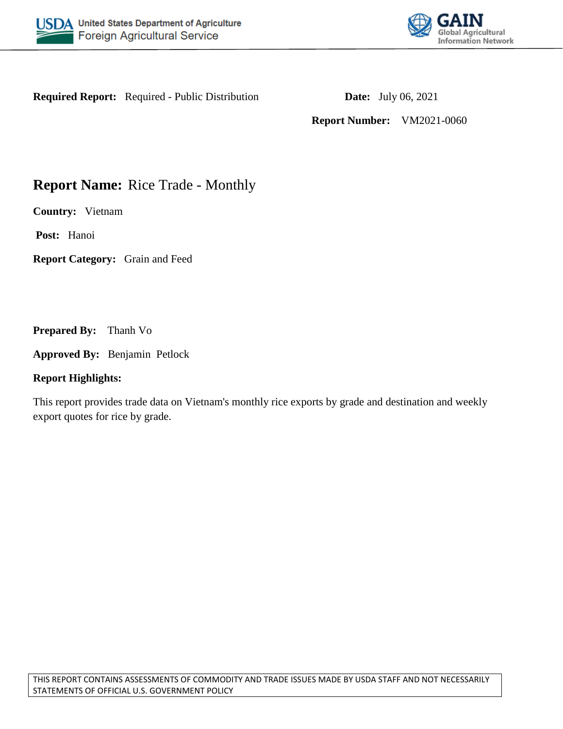



**Required Report:** Required - Public Distribution **Date:** July 06, 2021

**Report Number:** VM2021-0060

# **Report Name:** Rice Trade - Monthly

**Country:** Vietnam

**Post:** Hanoi

**Report Category:** Grain and Feed

**Prepared By:** Thanh Vo

**Approved By:** Benjamin Petlock

# **Report Highlights:**

This report provides trade data on Vietnam's monthly rice exports by grade and destination and weekly export quotes for rice by grade.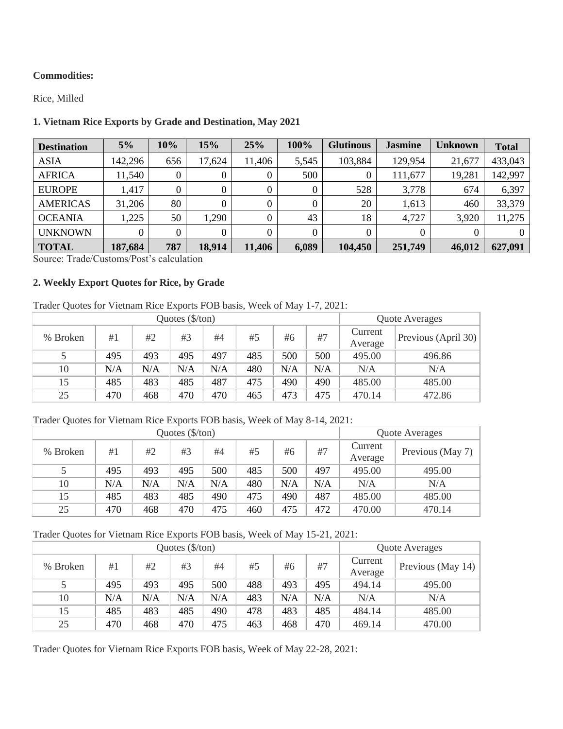#### **Commodities:**

Rice, Milled

## **1. Vietnam Rice Exports by Grade and Destination, May 2021**

| <b>Destination</b> | 5%       | 10% | 15%    | 25%    | 100%     | <b>Glutinous</b> | <b>Jasmine</b> | <b>Unknown</b> | <b>Total</b> |
|--------------------|----------|-----|--------|--------|----------|------------------|----------------|----------------|--------------|
| <b>ASIA</b>        | 142,296  | 656 | 17,624 | 11,406 | 5,545    | 103,884          | 129,954        | 21,677         | 433,043      |
| <b>AFRICA</b>      | 11,540   | 0   |        |        | 500      | 0                | 111,677        | 19,281         | 142,997      |
| <b>EUROPE</b>      | 1,417    | 0   |        | 0      | 0        | 528              | 3,778          | 674            | 6,397        |
| <b>AMERICAS</b>    | 31,206   | 80  |        |        | $\theta$ | 20               | 1,613          | 460            | 33,379       |
| <b>OCEANIA</b>     | 1,225    | 50  | 1,290  |        | 43       | 18               | 4,727          | 3,920          | 11,275       |
| <b>UNKNOWN</b>     | $\theta$ |     |        |        | $\theta$ |                  | 0              |                | $\Omega$     |
| <b>TOTAL</b>       | 187,684  | 787 | 18,914 | 11,406 | 6,089    | 104,450          | 251,749        | 46,012         | 627,091      |

Source: Trade/Customs/Post's calculation

#### **2. Weekly Export Quotes for Rice, by Grade**

## Trader Quotes for Vietnam Rice Exports FOB basis, Week of May 1-7, 2021:

|          |     | Quote Averages |     |     |     |     |     |                    |                     |
|----------|-----|----------------|-----|-----|-----|-----|-----|--------------------|---------------------|
| % Broken | #1  | #2             | #3  | #4  | #5  | #6  | #7  | Current<br>Average | Previous (April 30) |
|          | 495 | 493            | 495 | 497 | 485 | 500 | 500 | 495.00             | 496.86              |
| 10       | N/A | N/A            | N/A | N/A | 480 | N/A | N/A | N/A                | N/A                 |
| 15       | 485 | 483            | 485 | 487 | 475 | 490 | 490 | 485.00             | 485.00              |
| 25       | 470 | 468            | 470 | 470 | 465 | 473 | 475 | 470.14             | 472.86              |

### Trader Quotes for Vietnam Rice Exports FOB basis, Week of May 8-14, 2021:

|          |     | Quote Averages |     |     |     |     |     |                    |                  |
|----------|-----|----------------|-----|-----|-----|-----|-----|--------------------|------------------|
| % Broken | #1  | #2             | #3  | #4  | #5  | #6  | #7  | Current<br>Average | Previous (May 7) |
|          | 495 | 493            | 495 | 500 | 485 | 500 | 497 | 495.00             | 495.00           |
| 10       | N/A | N/A            | N/A | N/A | 480 | N/A | N/A | N/A                | N/A              |
| 15       | 485 | 483            | 485 | 490 | 475 | 490 | 487 | 485.00             | 485.00           |
| 25       | 470 | 468            | 470 | 475 | 460 | 475 | 472 | 470.00             | 470.14           |

#### Trader Quotes for Vietnam Rice Exports FOB basis, Week of May 15-21, 2021:

|          |     | Quote Averages |                       |     |     |     |     |                    |                   |
|----------|-----|----------------|-----------------------|-----|-----|-----|-----|--------------------|-------------------|
| % Broken | #1  | #2             | Quotes (\$/ton)<br>#3 | #4  | #5  | #6  | #7  | Current<br>Average | Previous (May 14) |
|          | 495 | 493            | 495                   | 500 | 488 | 493 | 495 | 494.14             | 495.00            |
| 10       | N/A | N/A            | N/A                   | N/A | 483 | N/A | N/A | N/A                | N/A               |
| 15       | 485 | 483            | 485                   | 490 | 478 | 483 | 485 | 484.14             | 485.00            |
| 25       | 470 | 468            | 470                   | 475 | 463 | 468 | 470 | 469.14             | 470.00            |

Trader Quotes for Vietnam Rice Exports FOB basis, Week of May 22-28, 2021: